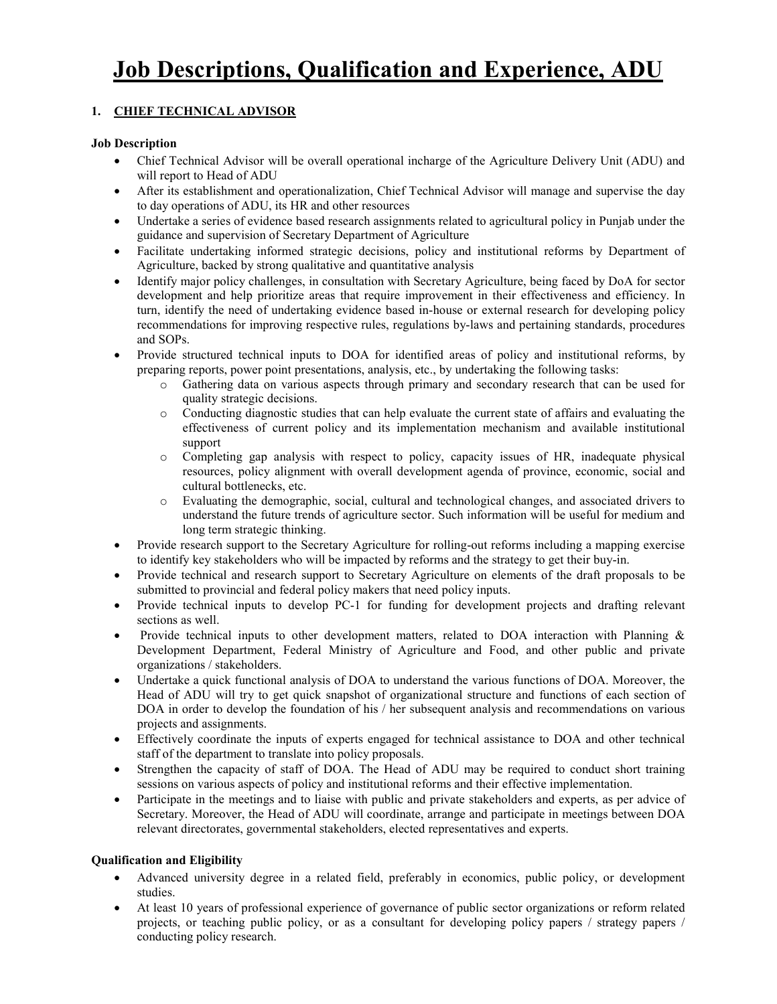## **1. CHIEF TECHNICAL ADVISOR**

### **Job Description**

- Chief Technical Advisor will be overall operational incharge of the Agriculture Delivery Unit (ADU) and will report to Head of ADU
- After its establishment and operationalization, Chief Technical Advisor will manage and supervise the day to day operations of ADU, its HR and other resources
- Undertake a series of evidence based research assignments related to agricultural policy in Punjab under the guidance and supervision of Secretary Department of Agriculture
- Facilitate undertaking informed strategic decisions, policy and institutional reforms by Department of Agriculture, backed by strong qualitative and quantitative analysis
- Identify major policy challenges, in consultation with Secretary Agriculture, being faced by DoA for sector development and help prioritize areas that require improvement in their effectiveness and efficiency. In turn, identify the need of undertaking evidence based in-house or external research for developing policy recommendations for improving respective rules, regulations by-laws and pertaining standards, procedures and SOPs.
- Provide structured technical inputs to DOA for identified areas of policy and institutional reforms, by preparing reports, power point presentations, analysis, etc., by undertaking the following tasks:
	- o Gathering data on various aspects through primary and secondary research that can be used for quality strategic decisions.
	- o Conducting diagnostic studies that can help evaluate the current state of affairs and evaluating the effectiveness of current policy and its implementation mechanism and available institutional support
	- o Completing gap analysis with respect to policy, capacity issues of HR, inadequate physical resources, policy alignment with overall development agenda of province, economic, social and cultural bottlenecks, etc.
	- o Evaluating the demographic, social, cultural and technological changes, and associated drivers to understand the future trends of agriculture sector. Such information will be useful for medium and long term strategic thinking.
- Provide research support to the Secretary Agriculture for rolling-out reforms including a mapping exercise to identify key stakeholders who will be impacted by reforms and the strategy to get their buy-in.
- Provide technical and research support to Secretary Agriculture on elements of the draft proposals to be submitted to provincial and federal policy makers that need policy inputs.
- Provide technical inputs to develop PC-1 for funding for development projects and drafting relevant sections as well.
- Provide technical inputs to other development matters, related to DOA interaction with Planning  $\&$ Development Department, Federal Ministry of Agriculture and Food, and other public and private organizations / stakeholders.
- Undertake a quick functional analysis of DOA to understand the various functions of DOA. Moreover, the Head of ADU will try to get quick snapshot of organizational structure and functions of each section of DOA in order to develop the foundation of his / her subsequent analysis and recommendations on various projects and assignments.
- Effectively coordinate the inputs of experts engaged for technical assistance to DOA and other technical staff of the department to translate into policy proposals.
- Strengthen the capacity of staff of DOA. The Head of ADU may be required to conduct short training sessions on various aspects of policy and institutional reforms and their effective implementation.
- Participate in the meetings and to liaise with public and private stakeholders and experts, as per advice of Secretary. Moreover, the Head of ADU will coordinate, arrange and participate in meetings between DOA relevant directorates, governmental stakeholders, elected representatives and experts.

- Advanced university degree in a related field, preferably in economics, public policy, or development studies.
- At least 10 years of professional experience of governance of public sector organizations or reform related projects, or teaching public policy, or as a consultant for developing policy papers / strategy papers / conducting policy research.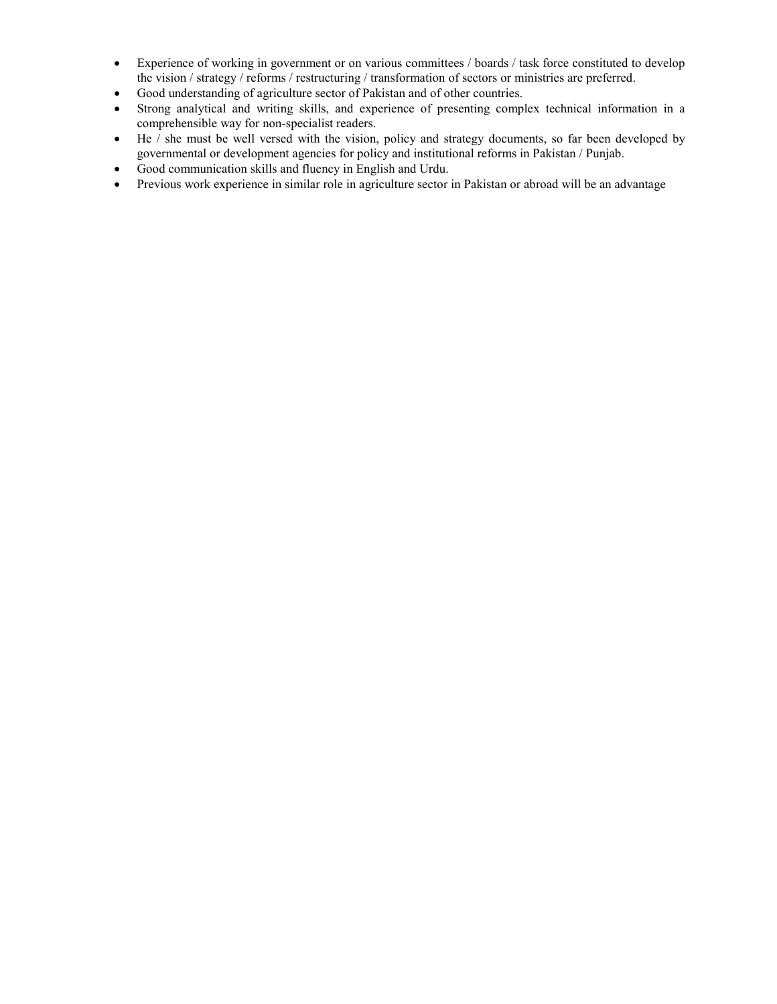- Experience of working in government or on various committees / boards / task force constituted to develop the vision / strategy / reforms / restructuring / transformation of sectors or ministries are preferred.
- Good understanding of agriculture sector of Pakistan and of other countries.
- Strong analytical and writing skills, and experience of presenting complex technical information in a comprehensible way for non-specialist readers.
- He / she must be well versed with the vision, policy and strategy documents, so far been developed by governmental or development agencies for policy and institutional reforms in Pakistan / Punjab.
- Good communication skills and fluency in English and Urdu.
- Previous work experience in similar role in agriculture sector in Pakistan or abroad will be an advantage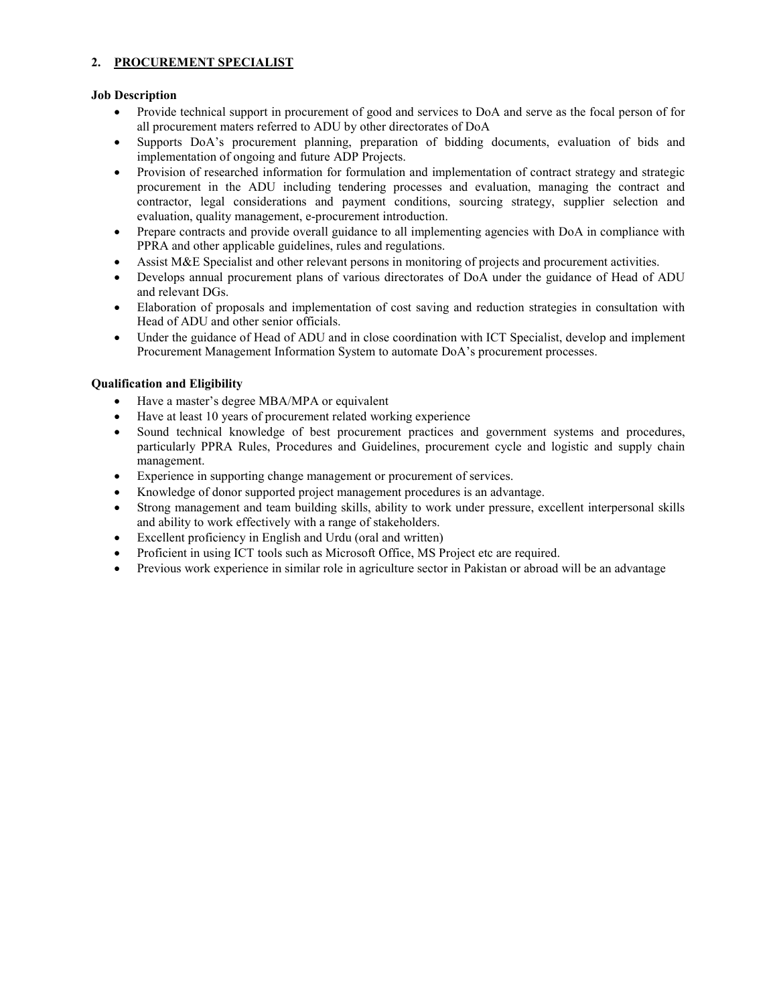### **2. PROCUREMENT SPECIALIST**

#### **Job Description**

- Provide technical support in procurement of good and services to DoA and serve as the focal person of for all procurement maters referred to ADU by other directorates of DoA
- Supports DoA's procurement planning, preparation of bidding documents, evaluation of bids and implementation of ongoing and future ADP Projects.
- Provision of researched information for formulation and implementation of contract strategy and strategic procurement in the ADU including tendering processes and evaluation, managing the contract and contractor, legal considerations and payment conditions, sourcing strategy, supplier selection and evaluation, quality management, e-procurement introduction.
- Prepare contracts and provide overall guidance to all implementing agencies with DoA in compliance with PPRA and other applicable guidelines, rules and regulations.
- Assist M&E Specialist and other relevant persons in monitoring of projects and procurement activities.
- Develops annual procurement plans of various directorates of DoA under the guidance of Head of ADU and relevant DGs.
- Elaboration of proposals and implementation of cost saving and reduction strategies in consultation with Head of ADU and other senior officials.
- Under the guidance of Head of ADU and in close coordination with ICT Specialist, develop and implement Procurement Management Information System to automate DoA's procurement processes.

- Have a master's degree MBA/MPA or equivalent
- Have at least 10 years of procurement related working experience
- Sound technical knowledge of best procurement practices and government systems and procedures, particularly PPRA Rules, Procedures and Guidelines, procurement cycle and logistic and supply chain management.
- Experience in supporting change management or procurement of services.
- Knowledge of donor supported project management procedures is an advantage.
- Strong management and team building skills, ability to work under pressure, excellent interpersonal skills and ability to work effectively with a range of stakeholders.
- Excellent proficiency in English and Urdu (oral and written)
- Proficient in using ICT tools such as Microsoft Office, MS Project etc are required.
- Previous work experience in similar role in agriculture sector in Pakistan or abroad will be an advantage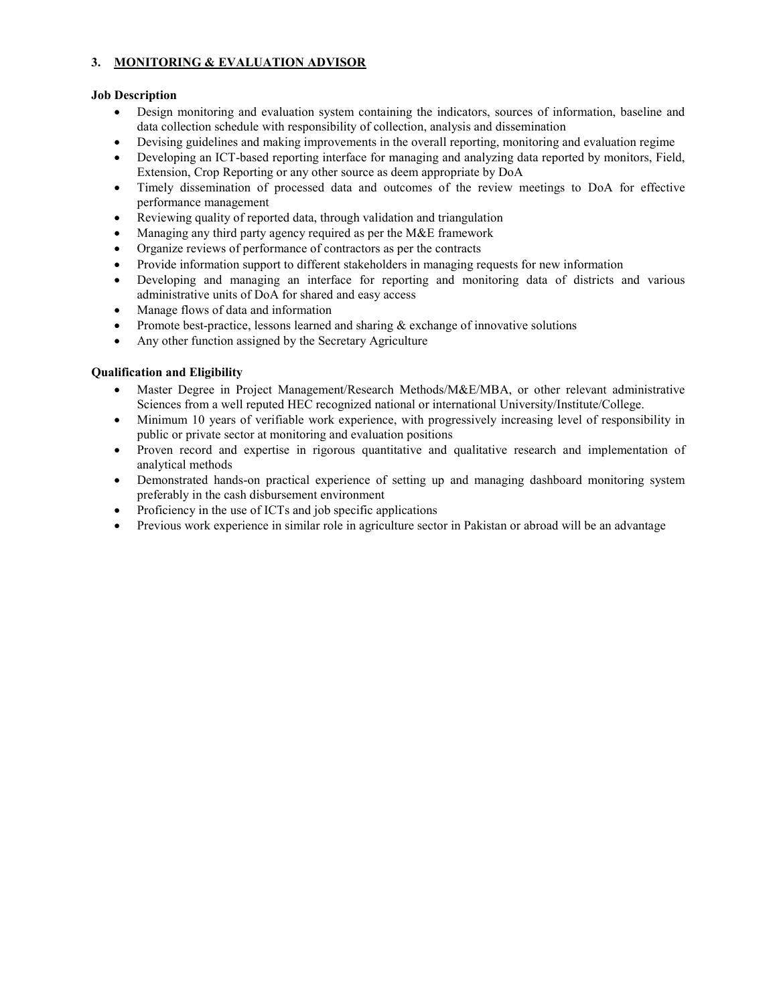### **3. MONITORING & EVALUATION ADVISOR**

### **Job Description**

- Design monitoring and evaluation system containing the indicators, sources of information, baseline and data collection schedule with responsibility of collection, analysis and dissemination
- Devising guidelines and making improvements in the overall reporting, monitoring and evaluation regime
- Developing an ICT-based reporting interface for managing and analyzing data reported by monitors, Field, Extension, Crop Reporting or any other source as deem appropriate by DoA
- Timely dissemination of processed data and outcomes of the review meetings to DoA for effective performance management
- Reviewing quality of reported data, through validation and triangulation
- Managing any third party agency required as per the M&E framework
- Organize reviews of performance of contractors as per the contracts
- Provide information support to different stakeholders in managing requests for new information
- Developing and managing an interface for reporting and monitoring data of districts and various administrative units of DoA for shared and easy access
- Manage flows of data and information
- Promote best-practice, lessons learned and sharing  $&$  exchange of innovative solutions
- Any other function assigned by the Secretary Agriculture

- Master Degree in Project Management/Research Methods/M&E/MBA, or other relevant administrative Sciences from a well reputed HEC recognized national or international University/Institute/College.
- Minimum 10 years of verifiable work experience, with progressively increasing level of responsibility in public or private sector at monitoring and evaluation positions
- Proven record and expertise in rigorous quantitative and qualitative research and implementation of analytical methods
- Demonstrated hands-on practical experience of setting up and managing dashboard monitoring system preferably in the cash disbursement environment
- Proficiency in the use of ICTs and job specific applications
- Previous work experience in similar role in agriculture sector in Pakistan or abroad will be an advantage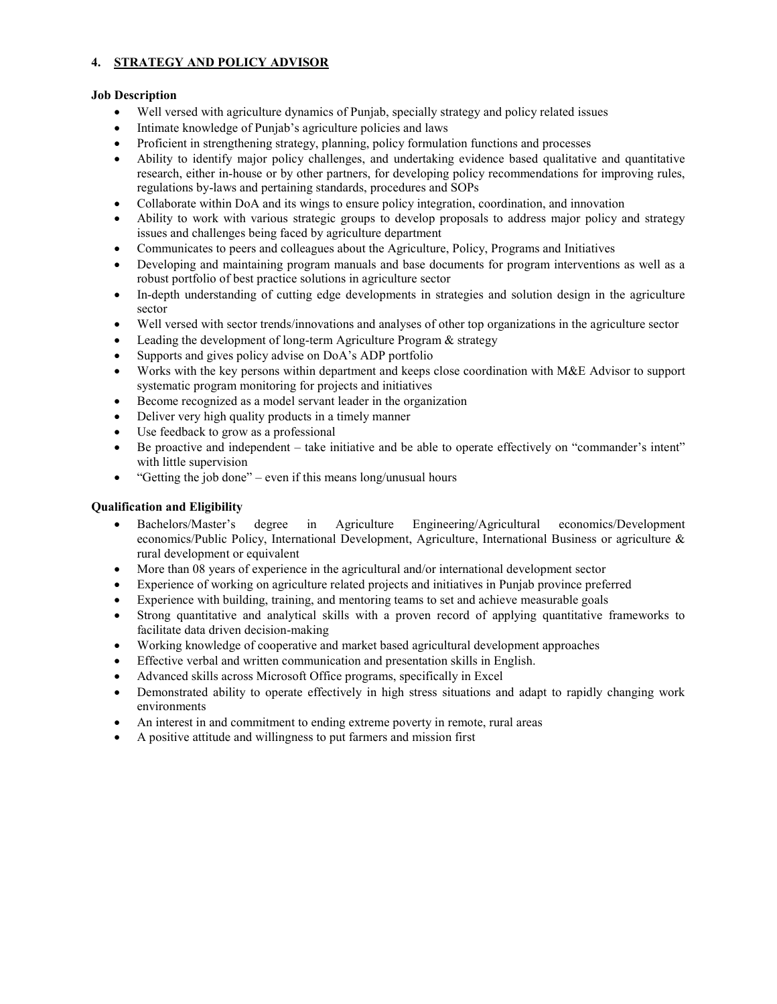### **4. STRATEGY AND POLICY ADVISOR**

#### **Job Description**

- Well versed with agriculture dynamics of Punjab, specially strategy and policy related issues
- Intimate knowledge of Punjab's agriculture policies and laws
- Proficient in strengthening strategy, planning, policy formulation functions and processes
- Ability to identify major policy challenges, and undertaking evidence based qualitative and quantitative research, either in-house or by other partners, for developing policy recommendations for improving rules, regulations by-laws and pertaining standards, procedures and SOPs
- Collaborate within DoA and its wings to ensure policy integration, coordination, and innovation
- Ability to work with various strategic groups to develop proposals to address major policy and strategy issues and challenges being faced by agriculture department
- Communicates to peers and colleagues about the Agriculture, Policy, Programs and Initiatives
- Developing and maintaining program manuals and base documents for program interventions as well as a robust portfolio of best practice solutions in agriculture sector
- In-depth understanding of cutting edge developments in strategies and solution design in the agriculture sector
- Well versed with sector trends/innovations and analyses of other top organizations in the agriculture sector
- Leading the development of long-term Agriculture Program & strategy
- Supports and gives policy advise on DoA's ADP portfolio
- Works with the key persons within department and keeps close coordination with M&E Advisor to support systematic program monitoring for projects and initiatives
- Become recognized as a model servant leader in the organization
- Deliver very high quality products in a timely manner
- Use feedback to grow as a professional
- Be proactive and independent take initiative and be able to operate effectively on "commander's intent" with little supervision
- "Getting the job done" even if this means long/unusual hours

- Bachelors/Master's degree in Agriculture Engineering/Agricultural economics/Development economics/Public Policy, International Development, Agriculture, International Business or agriculture & rural development or equivalent
- More than 08 years of experience in the agricultural and/or international development sector
- Experience of working on agriculture related projects and initiatives in Punjab province preferred
- Experience with building, training, and mentoring teams to set and achieve measurable goals
- Strong quantitative and analytical skills with a proven record of applying quantitative frameworks to facilitate data driven decision-making
- Working knowledge of cooperative and market based agricultural development approaches
- Effective verbal and written communication and presentation skills in English.
- Advanced skills across Microsoft Office programs, specifically in Excel
- Demonstrated ability to operate effectively in high stress situations and adapt to rapidly changing work environments
- An interest in and commitment to ending extreme poverty in remote, rural areas
- A positive attitude and willingness to put farmers and mission first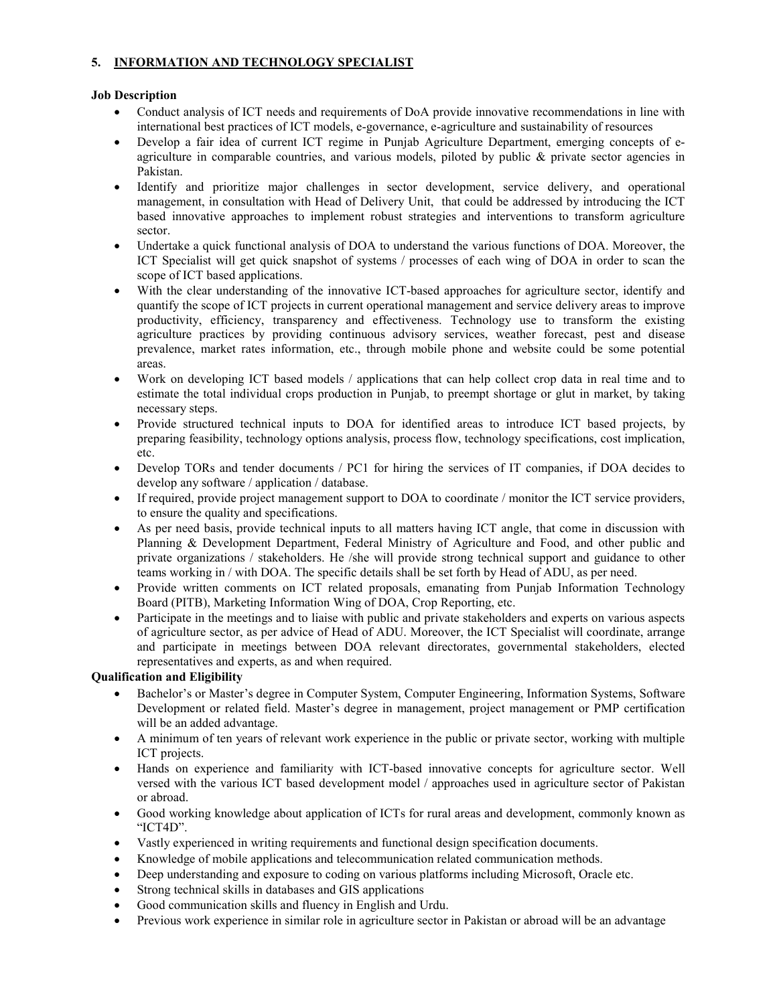### **5. INFORMATION AND TECHNOLOGY SPECIALIST**

### **Job Description**

- Conduct analysis of ICT needs and requirements of DoA provide innovative recommendations in line with international best practices of ICT models, e-governance, e-agriculture and sustainability of resources
- Develop a fair idea of current ICT regime in Punjab Agriculture Department, emerging concepts of eagriculture in comparable countries, and various models, piloted by public & private sector agencies in Pakistan.
- Identify and prioritize major challenges in sector development, service delivery, and operational management, in consultation with Head of Delivery Unit, that could be addressed by introducing the ICT based innovative approaches to implement robust strategies and interventions to transform agriculture sector.
- Undertake a quick functional analysis of DOA to understand the various functions of DOA. Moreover, the ICT Specialist will get quick snapshot of systems / processes of each wing of DOA in order to scan the scope of ICT based applications.
- With the clear understanding of the innovative ICT-based approaches for agriculture sector, identify and quantify the scope of ICT projects in current operational management and service delivery areas to improve productivity, efficiency, transparency and effectiveness. Technology use to transform the existing agriculture practices by providing continuous advisory services, weather forecast, pest and disease prevalence, market rates information, etc., through mobile phone and website could be some potential areas.
- Work on developing ICT based models / applications that can help collect crop data in real time and to estimate the total individual crops production in Punjab, to preempt shortage or glut in market, by taking necessary steps.
- Provide structured technical inputs to DOA for identified areas to introduce ICT based projects, by preparing feasibility, technology options analysis, process flow, technology specifications, cost implication, etc.
- Develop TORs and tender documents / PC1 for hiring the services of IT companies, if DOA decides to develop any software / application / database.
- If required, provide project management support to DOA to coordinate / monitor the ICT service providers, to ensure the quality and specifications.
- As per need basis, provide technical inputs to all matters having ICT angle, that come in discussion with Planning & Development Department, Federal Ministry of Agriculture and Food, and other public and private organizations / stakeholders. He /she will provide strong technical support and guidance to other teams working in / with DOA. The specific details shall be set forth by Head of ADU, as per need.
- Provide written comments on ICT related proposals, emanating from Punjab Information Technology Board (PITB), Marketing Information Wing of DOA, Crop Reporting, etc.
- Participate in the meetings and to liaise with public and private stakeholders and experts on various aspects of agriculture sector, as per advice of Head of ADU. Moreover, the ICT Specialist will coordinate, arrange and participate in meetings between DOA relevant directorates, governmental stakeholders, elected representatives and experts, as and when required.

- Bachelor's or Master's degree in Computer System, Computer Engineering, Information Systems, Software Development or related field. Master's degree in management, project management or PMP certification will be an added advantage.
- A minimum of ten years of relevant work experience in the public or private sector, working with multiple ICT projects.
- Hands on experience and familiarity with ICT-based innovative concepts for agriculture sector. Well versed with the various ICT based development model / approaches used in agriculture sector of Pakistan or abroad.
- Good working knowledge about application of ICTs for rural areas and development, commonly known as "ICT4D".
- Vastly experienced in writing requirements and functional design specification documents.
- Knowledge of mobile applications and telecommunication related communication methods.
- Deep understanding and exposure to coding on various platforms including Microsoft, Oracle etc.
- Strong technical skills in databases and GIS applications
- Good communication skills and fluency in English and Urdu.
- Previous work experience in similar role in agriculture sector in Pakistan or abroad will be an advantage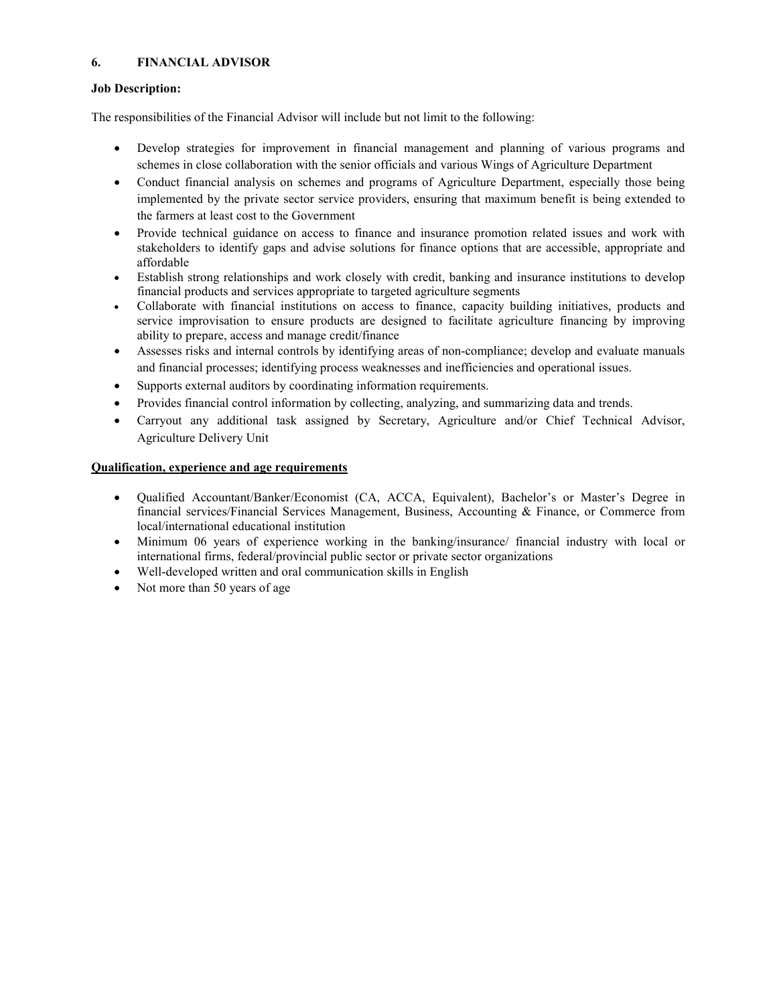### **6. FINANCIAL ADVISOR**

### **Job Description:**

The responsibilities of the Financial Advisor will include but not limit to the following:

- Develop strategies for improvement in financial management and planning of various programs and schemes in close collaboration with the senior officials and various Wings of Agriculture Department
- Conduct financial analysis on schemes and programs of Agriculture Department, especially those being implemented by the private sector service providers, ensuring that maximum benefit is being extended to the farmers at least cost to the Government
- Provide technical guidance on access to finance and insurance promotion related issues and work with stakeholders to identify gaps and advise solutions for finance options that are accessible, appropriate and affordable
- Establish strong relationships and work closely with credit, banking and insurance institutions to develop financial products and services appropriate to targeted agriculture segments
- Collaborate with financial institutions on access to finance, capacity building initiatives, products and service improvisation to ensure products are designed to facilitate agriculture financing by improving ability to prepare, access and manage credit/finance
- Assesses risks and internal controls by identifying areas of non-compliance; develop and evaluate manuals and financial processes; identifying process weaknesses and inefficiencies and operational issues.
- Supports external auditors by coordinating information requirements.
- Provides financial control information by collecting, analyzing, and summarizing data and trends.
- Carryout any additional task assigned by Secretary, Agriculture and/or Chief Technical Advisor, Agriculture Delivery Unit

### **Qualification, experience and age requirements**

- Qualified Accountant/Banker/Economist (CA, ACCA, Equivalent), Bachelor's or Master's Degree in financial services/Financial Services Management, Business, Accounting & Finance, or Commerce from local/international educational institution
- Minimum 06 years of experience working in the banking/insurance/ financial industry with local or international firms, federal/provincial public sector or private sector organizations
- Well-developed written and oral communication skills in English
- Not more than 50 years of age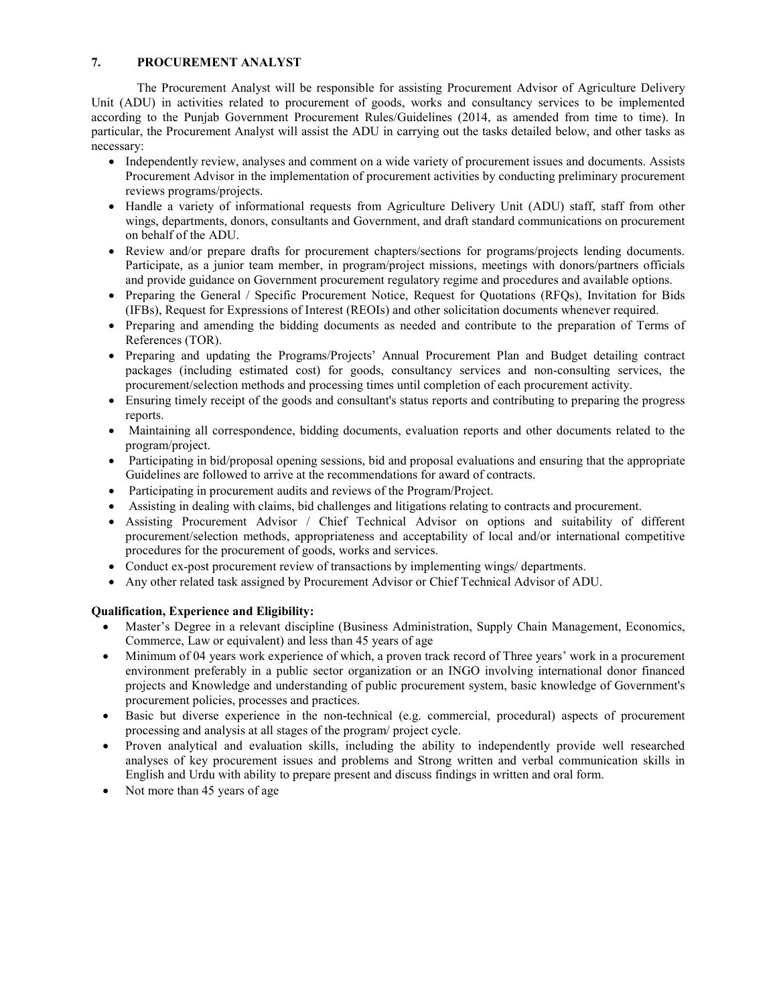### **7. PROCUREMENT ANALYST**

The Procurement Analyst will be responsible for assisting Procurement Advisor of Agriculture Delivery Unit (ADU) in activities related to procurement of goods, works and consultancy services to be implemented according to the Punjab Government Procurement Rules/Guidelines (2014, as amended from time to time). In particular, the Procurement Analyst will assist the ADU in carrying out the tasks detailed below, and other tasks as necessary:

- Independently review, analyses and comment on a wide variety of procurement issues and documents. Assists Procurement Advisor in the implementation of procurement activities by conducting preliminary procurement reviews programs/projects.
- Handle a variety of informational requests from Agriculture Delivery Unit (ADU) staff, staff from other wings, departments, donors, consultants and Government, and draft standard communications on procurement on behalf of the ADU.
- Review and/or prepare drafts for procurement chapters/sections for programs/projects lending documents. Participate, as a junior team member, in program/project missions, meetings with donors/partners officials and provide guidance on Government procurement regulatory regime and procedures and available options.
- Preparing the General / Specific Procurement Notice, Request for Ouotations (RFOs), Invitation for Bids (IFBs), Request for Expressions of Interest (REOIs) and other solicitation documents whenever required.
- Preparing and amending the bidding documents as needed and contribute to the preparation of Terms of References (TOR).
- Preparing and updating the Programs/Projects' Annual Procurement Plan and Budget detailing contract packages (including estimated cost) for goods, consultancy services and non-consulting services, the procurement/selection methods and processing times until completion of each procurement activity.
- Ensuring timely receipt of the goods and consultant's status reports and contributing to preparing the progress reports.
- Maintaining all correspondence, bidding documents, evaluation reports and other documents related to the program/project.
- Participating in bid/proposal opening sessions, bid and proposal evaluations and ensuring that the appropriate Guidelines are followed to arrive at the recommendations for award of contracts.
- Participating in procurement audits and reviews of the Program/Project.
- Assisting in dealing with claims, bid challenges and litigations relating to contracts and procurement.
- Assisting Procurement Advisor / Chief Technical Advisor on options and suitability of different procurement/selection methods, appropriateness and acceptability of local and/or international competitive procedures for the procurement of goods, works and services.
- Conduct ex-post procurement review of transactions by implementing wings/ departments.
- Any other related task assigned by Procurement Advisor or Chief Technical Advisor of ADU.

#### **Qualification, Experience and Eligibility:**

- Master's Degree in a relevant discipline (Business Administration, Supply Chain Management, Economics, Commerce, Law or equivalent) and less than 45 years of age
- Minimum of 04 years work experience of which, a proven track record of Three years' work in a procurement environment preferably in a public sector organization or an INGO involving international donor financed projects and Knowledge and understanding of public procurement system, basic knowledge of Government's procurement policies, processes and practices.
- Basic but diverse experience in the non-technical (e.g. commercial, procedural) aspects of procurement processing and analysis at all stages of the program/ project cycle.
- Proven analytical and evaluation skills, including the ability to independently provide well researched analyses of key procurement issues and problems and Strong written and verbal communication skills in English and Urdu with ability to prepare present and discuss findings in written and oral form.
- Not more than 45 years of age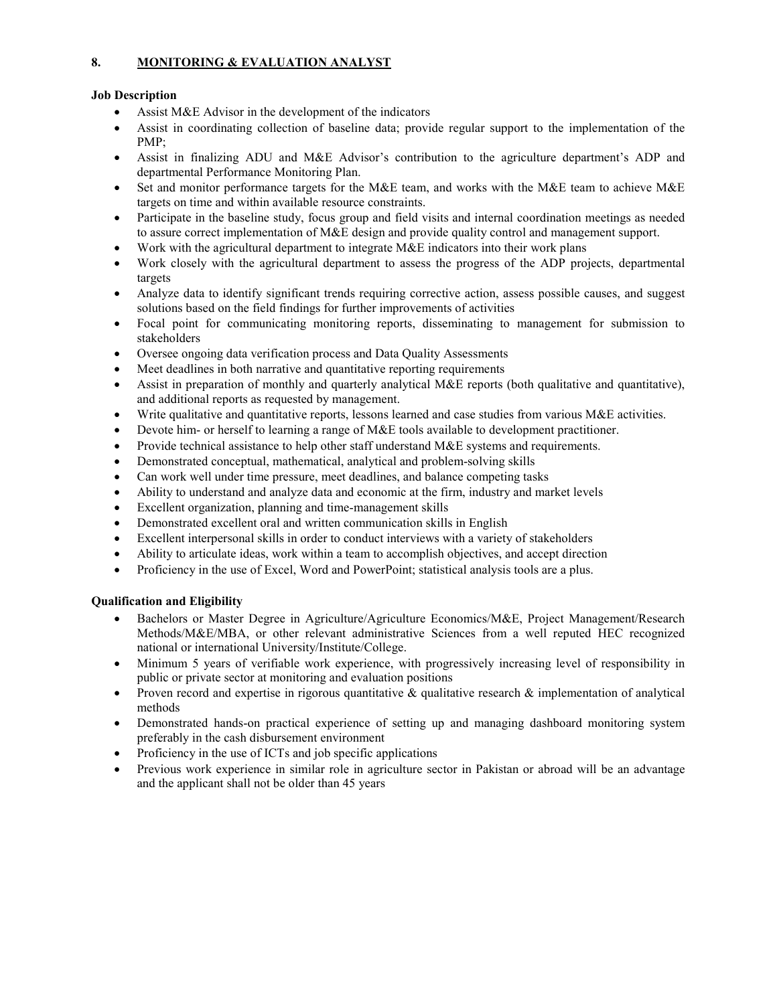### **8. MONITORING & EVALUATION ANALYST**

### **Job Description**

- Assist M&E Advisor in the development of the indicators
- Assist in coordinating collection of baseline data; provide regular support to the implementation of the PMP;
- Assist in finalizing ADU and M&E Advisor's contribution to the agriculture department's ADP and departmental Performance Monitoring Plan.
- Set and monitor performance targets for the M&E team, and works with the M&E team to achieve M&E targets on time and within available resource constraints.
- Participate in the baseline study, focus group and field visits and internal coordination meetings as needed to assure correct implementation of M&E design and provide quality control and management support.
- Work with the agricultural department to integrate M&E indicators into their work plans
- Work closely with the agricultural department to assess the progress of the ADP projects, departmental targets
- Analyze data to identify significant trends requiring corrective action, assess possible causes, and suggest solutions based on the field findings for further improvements of activities
- Focal point for communicating monitoring reports, disseminating to management for submission to stakeholders
- Oversee ongoing data verification process and Data Quality Assessments
- Meet deadlines in both narrative and quantitative reporting requirements
- Assist in preparation of monthly and quarterly analytical M&E reports (both qualitative and quantitative), and additional reports as requested by management.
- Write qualitative and quantitative reports, lessons learned and case studies from various M&E activities.
- Devote him- or herself to learning a range of M&E tools available to development practitioner.
- Provide technical assistance to help other staff understand M&E systems and requirements.
- Demonstrated conceptual, mathematical, analytical and problem-solving skills
- Can work well under time pressure, meet deadlines, and balance competing tasks
- Ability to understand and analyze data and economic at the firm, industry and market levels
- Excellent organization, planning and time-management skills
- Demonstrated excellent oral and written communication skills in English
- Excellent interpersonal skills in order to conduct interviews with a variety of stakeholders
- Ability to articulate ideas, work within a team to accomplish objectives, and accept direction
- Proficiency in the use of Excel, Word and PowerPoint; statistical analysis tools are a plus.

- Bachelors or Master Degree in Agriculture/Agriculture Economics/M&E, Project Management/Research Methods/M&E/MBA, or other relevant administrative Sciences from a well reputed HEC recognized national or international University/Institute/College.
- Minimum 5 years of verifiable work experience, with progressively increasing level of responsibility in public or private sector at monitoring and evaluation positions
- Proven record and expertise in rigorous quantitative  $\&$  qualitative research  $\&$  implementation of analytical methods
- Demonstrated hands-on practical experience of setting up and managing dashboard monitoring system preferably in the cash disbursement environment
- Proficiency in the use of ICTs and job specific applications
- Previous work experience in similar role in agriculture sector in Pakistan or abroad will be an advantage and the applicant shall not be older than 45 years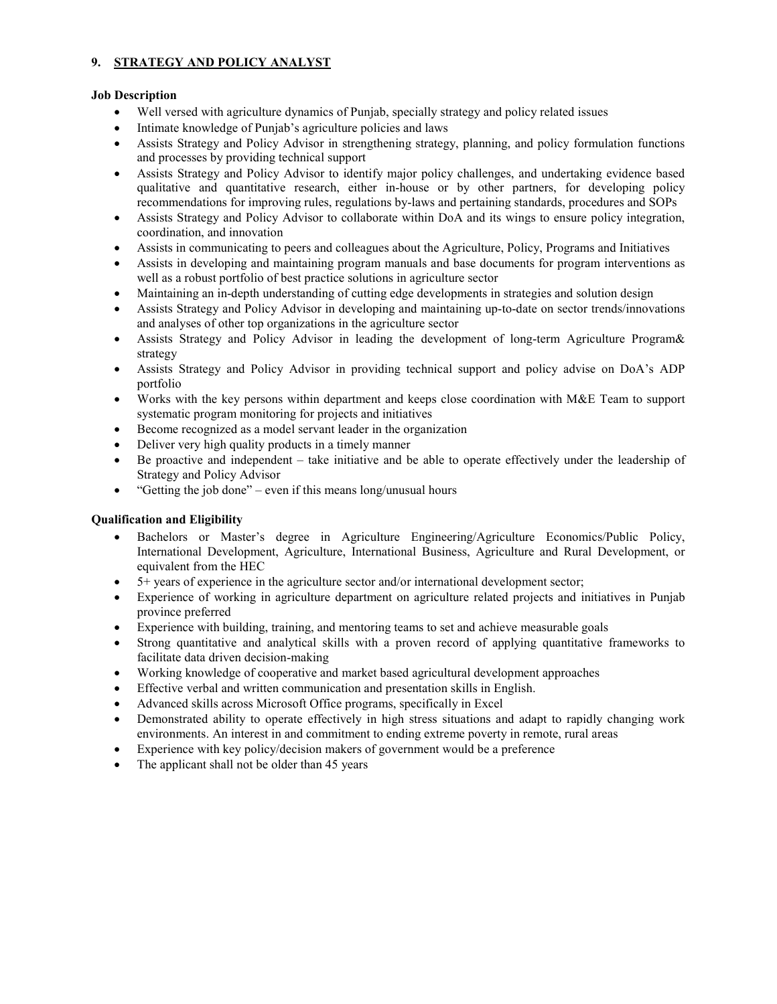### **9. STRATEGY AND POLICY ANALYST**

#### **Job Description**

- Well versed with agriculture dynamics of Punjab, specially strategy and policy related issues
- Intimate knowledge of Punjab's agriculture policies and laws
- Assists Strategy and Policy Advisor in strengthening strategy, planning, and policy formulation functions and processes by providing technical support
- Assists Strategy and Policy Advisor to identify major policy challenges, and undertaking evidence based qualitative and quantitative research, either in-house or by other partners, for developing policy recommendations for improving rules, regulations by-laws and pertaining standards, procedures and SOPs
- Assists Strategy and Policy Advisor to collaborate within DoA and its wings to ensure policy integration, coordination, and innovation
- Assists in communicating to peers and colleagues about the Agriculture, Policy, Programs and Initiatives
- Assists in developing and maintaining program manuals and base documents for program interventions as well as a robust portfolio of best practice solutions in agriculture sector
- Maintaining an in-depth understanding of cutting edge developments in strategies and solution design
- Assists Strategy and Policy Advisor in developing and maintaining up-to-date on sector trends/innovations and analyses of other top organizations in the agriculture sector
- Assists Strategy and Policy Advisor in leading the development of long-term Agriculture Program & strategy
- Assists Strategy and Policy Advisor in providing technical support and policy advise on DoA's ADP portfolio
- Works with the key persons within department and keeps close coordination with M&E Team to support systematic program monitoring for projects and initiatives
- Become recognized as a model servant leader in the organization
- Deliver very high quality products in a timely manner
- Be proactive and independent take initiative and be able to operate effectively under the leadership of Strategy and Policy Advisor
- "Getting the job done" even if this means long/unusual hours

- Bachelors or Master's degree in Agriculture Engineering/Agriculture Economics/Public Policy, International Development, Agriculture, International Business, Agriculture and Rural Development, or equivalent from the HEC
- 5+ years of experience in the agriculture sector and/or international development sector;
- Experience of working in agriculture department on agriculture related projects and initiatives in Punjab province preferred
- Experience with building, training, and mentoring teams to set and achieve measurable goals
- Strong quantitative and analytical skills with a proven record of applying quantitative frameworks to facilitate data driven decision-making
- Working knowledge of cooperative and market based agricultural development approaches
- Effective verbal and written communication and presentation skills in English.
- Advanced skills across Microsoft Office programs, specifically in Excel
- Demonstrated ability to operate effectively in high stress situations and adapt to rapidly changing work environments. An interest in and commitment to ending extreme poverty in remote, rural areas
- Experience with key policy/decision makers of government would be a preference
- The applicant shall not be older than 45 years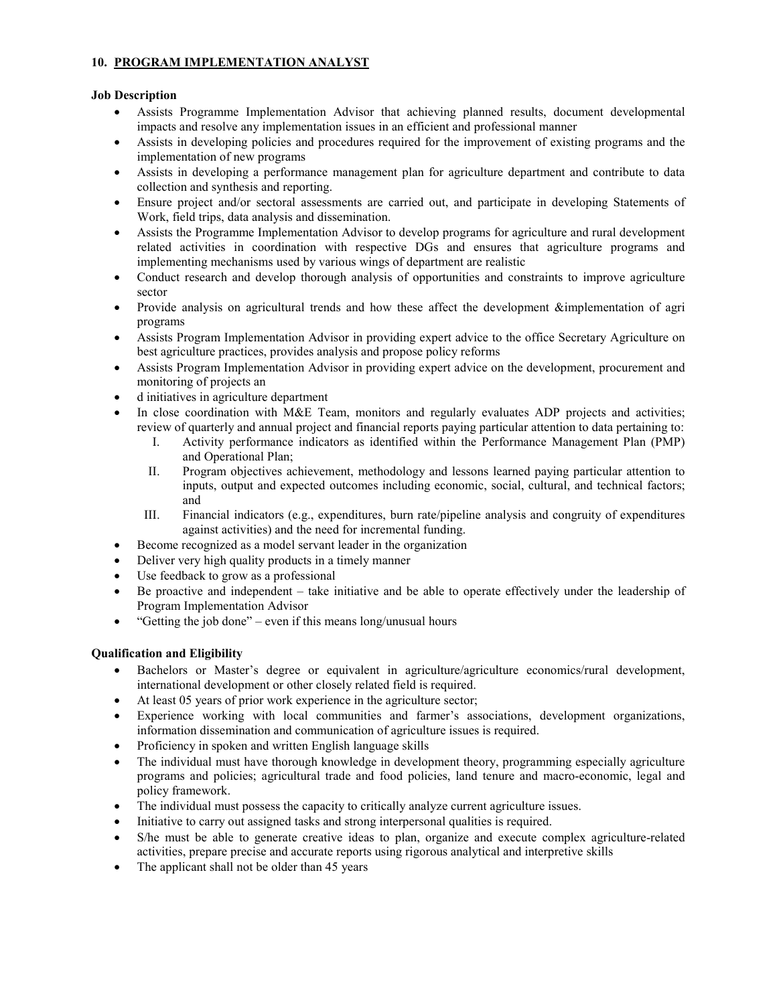### **10. PROGRAM IMPLEMENTATION ANALYST**

### **Job Description**

- Assists Programme Implementation Advisor that achieving planned results, document developmental impacts and resolve any implementation issues in an efficient and professional manner
- Assists in developing policies and procedures required for the improvement of existing programs and the implementation of new programs
- Assists in developing a performance management plan for agriculture department and contribute to data collection and synthesis and reporting.
- Ensure project and/or sectoral assessments are carried out, and participate in developing Statements of Work, field trips, data analysis and dissemination.
- Assists the Programme Implementation Advisor to develop programs for agriculture and rural development related activities in coordination with respective DGs and ensures that agriculture programs and implementing mechanisms used by various wings of department are realistic
- Conduct research and develop thorough analysis of opportunities and constraints to improve agriculture sector
- Provide analysis on agricultural trends and how these affect the development &implementation of agri programs
- Assists Program Implementation Advisor in providing expert advice to the office Secretary Agriculture on best agriculture practices, provides analysis and propose policy reforms
- Assists Program Implementation Advisor in providing expert advice on the development, procurement and monitoring of projects an
- d initiatives in agriculture department
- In close coordination with M&E Team, monitors and regularly evaluates ADP projects and activities; review of quarterly and annual project and financial reports paying particular attention to data pertaining to:
	- I. Activity performance indicators as identified within the Performance Management Plan (PMP) and Operational Plan;
	- II. Program objectives achievement, methodology and lessons learned paying particular attention to inputs, output and expected outcomes including economic, social, cultural, and technical factors; and
	- III. Financial indicators (e.g., expenditures, burn rate/pipeline analysis and congruity of expenditures against activities) and the need for incremental funding.
- Become recognized as a model servant leader in the organization
- Deliver very high quality products in a timely manner
- Use feedback to grow as a professional
- Be proactive and independent take initiative and be able to operate effectively under the leadership of Program Implementation Advisor
- "Getting the job done" even if this means long/unusual hours

- Bachelors or Master's degree or equivalent in agriculture/agriculture economics/rural development, international development or other closely related field is required.
- At least 05 years of prior work experience in the agriculture sector;
- Experience working with local communities and farmer's associations, development organizations, information dissemination and communication of agriculture issues is required.
- Proficiency in spoken and written English language skills
- The individual must have thorough knowledge in development theory, programming especially agriculture programs and policies; agricultural trade and food policies, land tenure and macro-economic, legal and policy framework.
- The individual must possess the capacity to critically analyze current agriculture issues.
- Initiative to carry out assigned tasks and strong interpersonal qualities is required.
- S/he must be able to generate creative ideas to plan, organize and execute complex agriculture-related activities, prepare precise and accurate reports using rigorous analytical and interpretive skills
- The applicant shall not be older than 45 years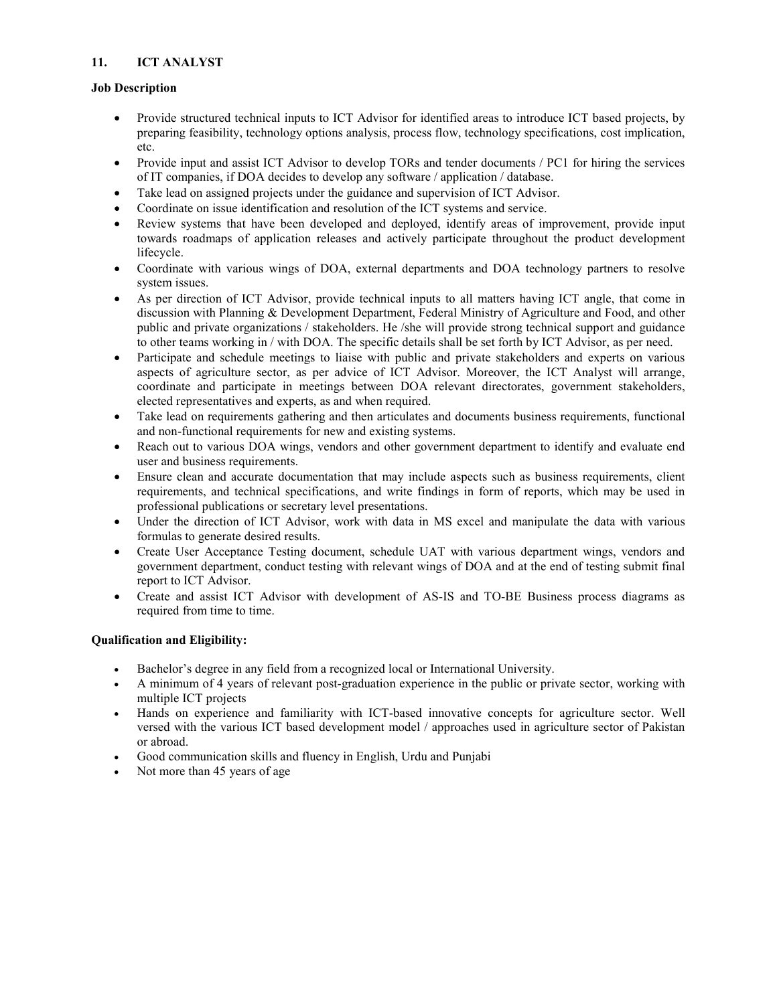### **11. ICT ANALYST**

### **Job Description**

- Provide structured technical inputs to ICT Advisor for identified areas to introduce ICT based projects, by preparing feasibility, technology options analysis, process flow, technology specifications, cost implication, etc.
- Provide input and assist ICT Advisor to develop TORs and tender documents / PC1 for hiring the services of IT companies, if DOA decides to develop any software / application / database.
- Take lead on assigned projects under the guidance and supervision of ICT Advisor.
- Coordinate on issue identification and resolution of the ICT systems and service.
- Review systems that have been developed and deployed, identify areas of improvement, provide input towards roadmaps of application releases and actively participate throughout the product development lifecycle.
- Coordinate with various wings of DOA, external departments and DOA technology partners to resolve system issues.
- As per direction of ICT Advisor, provide technical inputs to all matters having ICT angle, that come in discussion with Planning & Development Department, Federal Ministry of Agriculture and Food, and other public and private organizations / stakeholders. He /she will provide strong technical support and guidance to other teams working in / with DOA. The specific details shall be set forth by ICT Advisor, as per need.
- Participate and schedule meetings to liaise with public and private stakeholders and experts on various aspects of agriculture sector, as per advice of ICT Advisor. Moreover, the ICT Analyst will arrange, coordinate and participate in meetings between DOA relevant directorates, government stakeholders, elected representatives and experts, as and when required.
- Take lead on requirements gathering and then articulates and documents business requirements, functional and non-functional requirements for new and existing systems.
- Reach out to various DOA wings, vendors and other government department to identify and evaluate end user and business requirements.
- Ensure clean and accurate documentation that may include aspects such as business requirements, client requirements, and technical specifications, and write findings in form of reports, which may be used in professional publications or secretary level presentations.
- Under the direction of ICT Advisor, work with data in MS excel and manipulate the data with various formulas to generate desired results.
- Create User Acceptance Testing document, schedule UAT with various department wings, vendors and government department, conduct testing with relevant wings of DOA and at the end of testing submit final report to ICT Advisor.
- Create and assist ICT Advisor with development of AS-IS and TO-BE Business process diagrams as required from time to time.

- Bachelor's degree in any field from a recognized local or International University.
- A minimum of 4 years of relevant post-graduation experience in the public or private sector, working with multiple ICT projects
- Hands on experience and familiarity with ICT-based innovative concepts for agriculture sector. Well versed with the various ICT based development model / approaches used in agriculture sector of Pakistan or abroad.
- Good communication skills and fluency in English, Urdu and Punjabi
- Not more than 45 years of age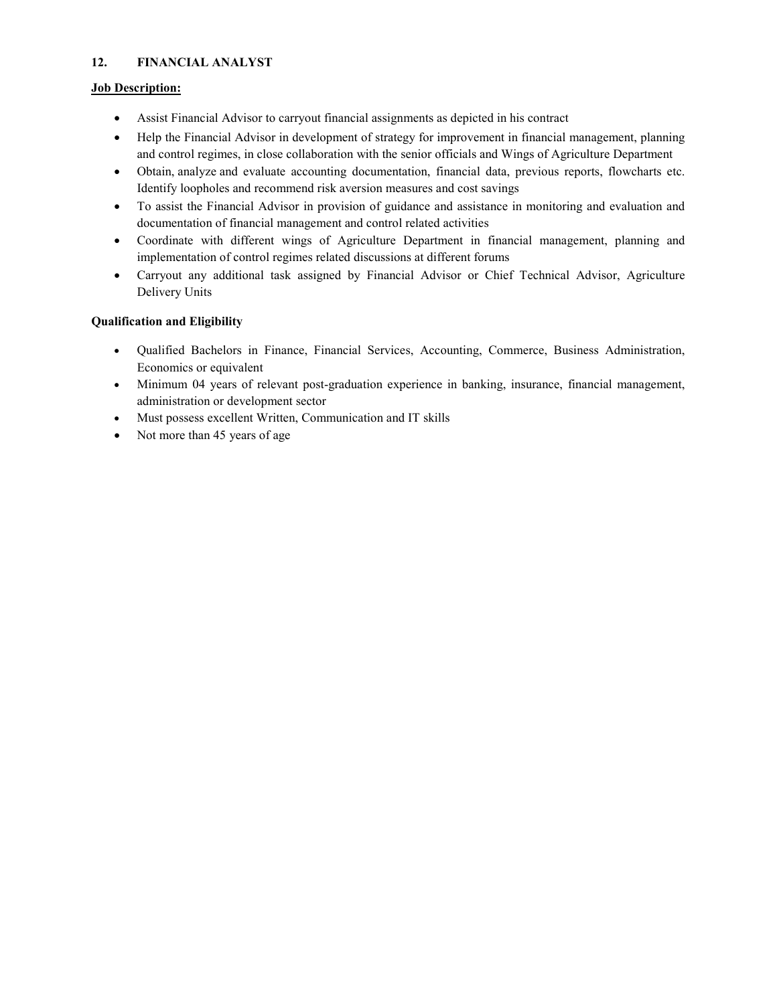### **12. FINANCIAL ANALYST**

### **Job Description:**

- Assist Financial Advisor to carryout financial assignments as depicted in his contract
- Help the Financial Advisor in development of strategy for improvement in financial management, planning and control regimes, in close collaboration with the senior officials and Wings of Agriculture Department
- Obtain, analyze and evaluate accounting documentation, financial data, previous reports, flowcharts etc. Identify loopholes and recommend risk aversion measures and cost savings
- To assist the Financial Advisor in provision of guidance and assistance in monitoring and evaluation and documentation of financial management and control related activities
- Coordinate with different wings of Agriculture Department in financial management, planning and implementation of control regimes related discussions at different forums
- Carryout any additional task assigned by Financial Advisor or Chief Technical Advisor, Agriculture Delivery Units

- Qualified Bachelors in Finance, Financial Services, Accounting, Commerce, Business Administration, Economics or equivalent
- Minimum 04 years of relevant post-graduation experience in banking, insurance, financial management, administration or development sector
- Must possess excellent Written, Communication and IT skills
- Not more than 45 years of age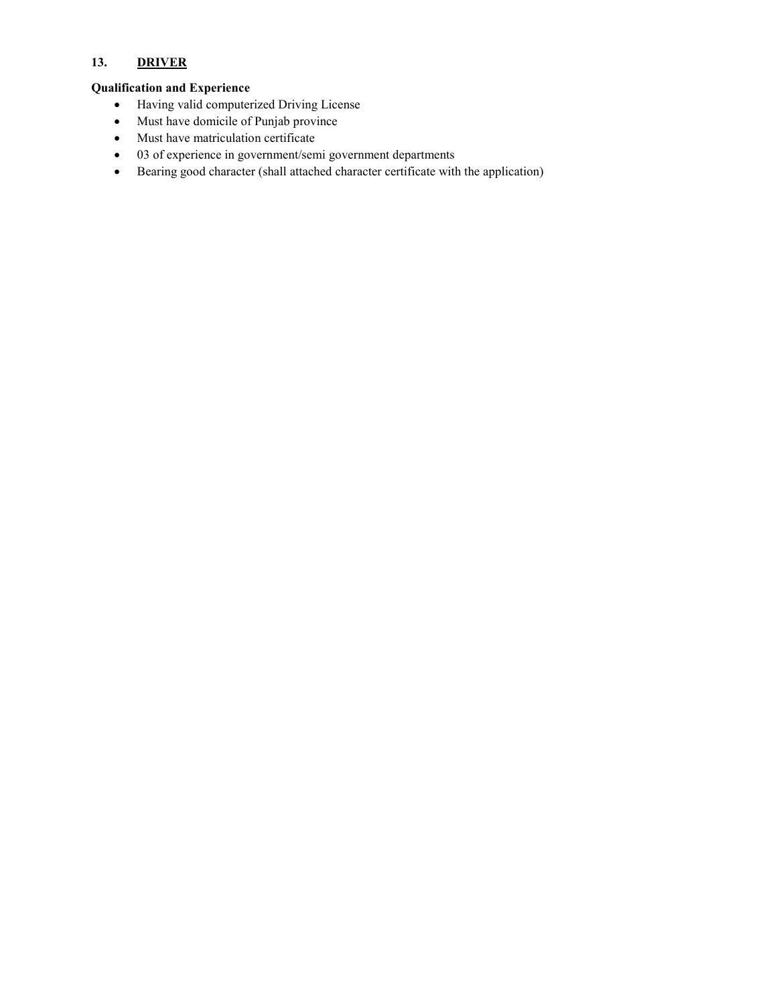# **13. DRIVER**

### **Qualification and Experience**

- Having valid computerized Driving License
- Must have domicile of Punjab province
- Must have matriculation certificate
- 03 of experience in government/semi government departments
- Bearing good character (shall attached character certificate with the application)